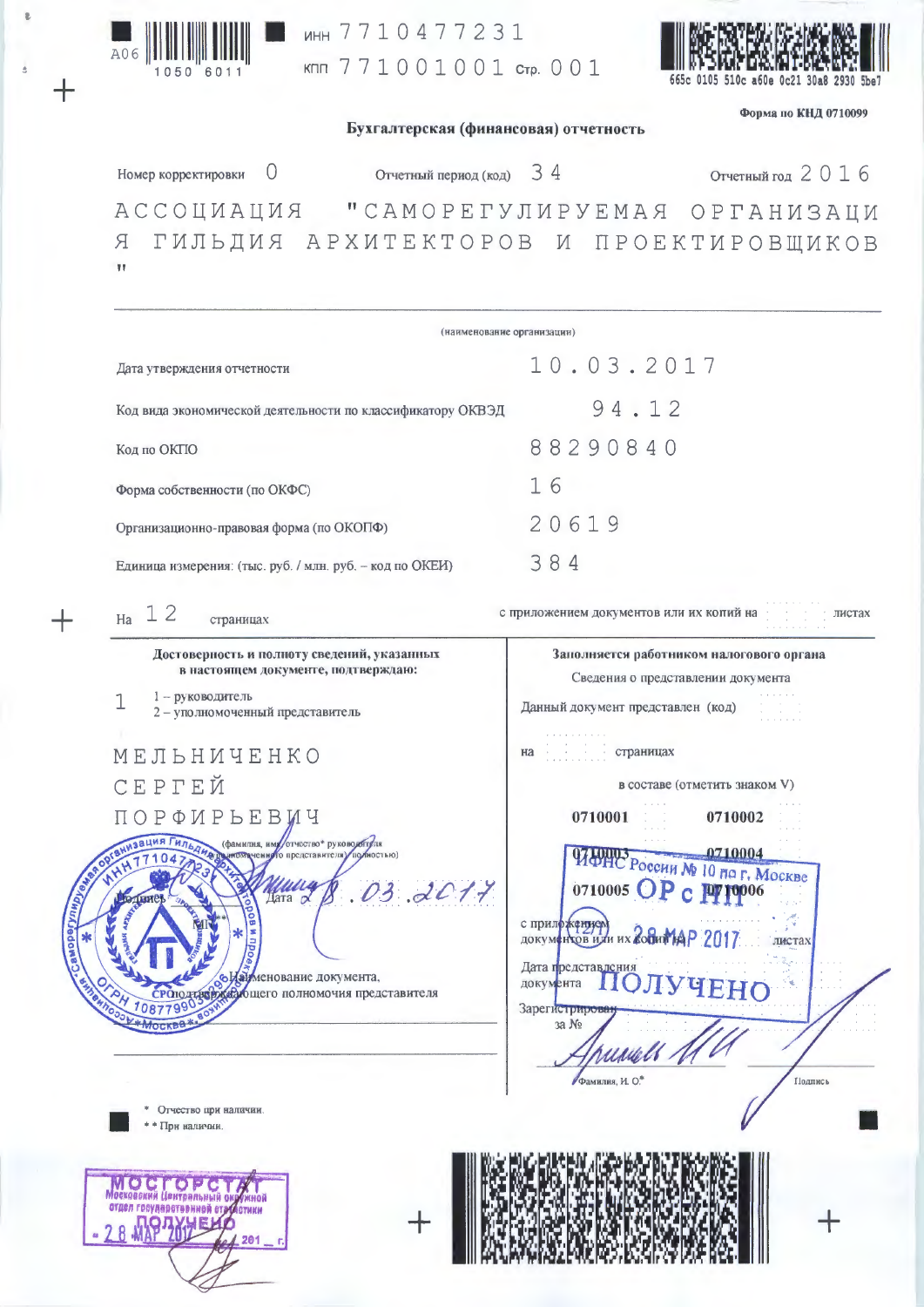

инн 7710477231 кпп 771001001 стр. 001



Форма по КНД 0710099

Бухгалтерская (финансовая) отчетность

Отчетный год 2016 Отчетный период (код) 34  $\overline{0}$ Номер корректировки RNUANDODA "CAMOPETYJI MPYEMAA OPTAH MSALM Я ГИЛЬДИЯ АРХИТЕКТОРОВ И ПРОЕКТИРОВЩИКОВ  $\mathbf{u}$ (наименование организации)  $10.03.2017$ Дата утверждения отчетности 94.12 Код вида экономической деятельности по классификатору ОКВЭД 88290840 Код по ОКПО 16 Форма собственности (по ОКФС) 20619 Организационно-правовая форма (по ОКОПФ) 384 Единица измерения: (тыс. руб. / млн. руб. - код по ОКЕИ)  $_{Ha}$  1 2 с приложением документов или их копий на пистах страницах Достоверность и полноту сведений, указанных Заполняется работником налогового органа в настоящем документе, подтверждаю: Сведения о представлении документа 1 - руководитель 1 Данный документ представлен (код) 2 - уполномоченный представитель страницах МЕЛЬНИЧЕНКО на СЕРГЕЙ в составе (отметить знаком V) ПОРФИРЬЕВИЧ 0710001 0710002 ЧАЛИС России № 10 по г. Москве

отчество\* руководителя представителя) mm  $2017$  $\mathcal{D}3$ Дата о • Изименование документа, жедощего полномочия представителя POIOTTESP 10877990

Фамилия, И. О.

Дата представлени

документа

Зарегистриро 3a Ns

0710005  $\overline{OP}$   $\overline{CP}$ 

с приложением)<br>документов или их **Зовит АДР** 2017

листах

Гіодпись

ЧЕНО

Отчество при наличии При наличии

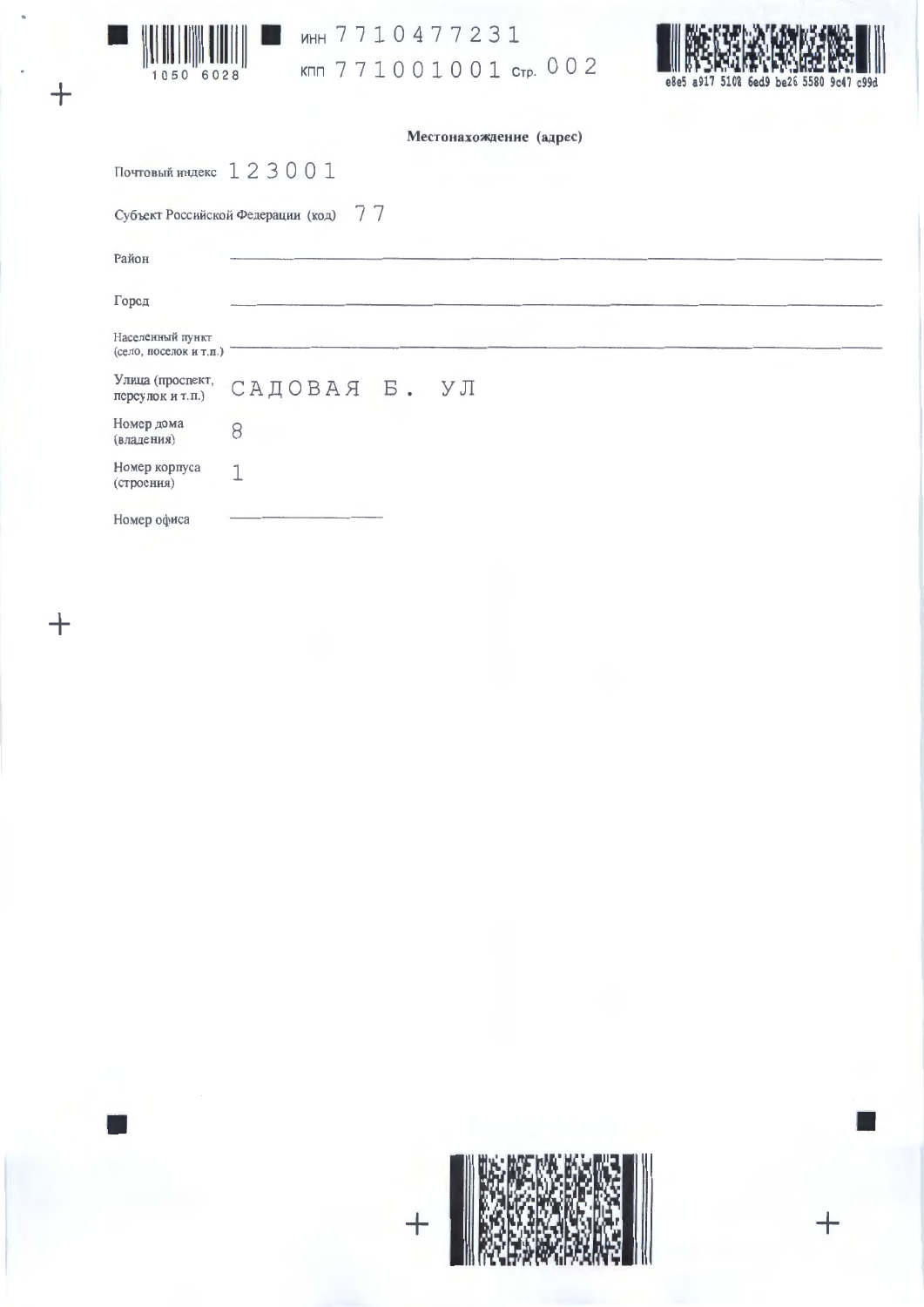

 $\overline{+}$ 





| Местонахождение (адрес) |  |  |
|-------------------------|--|--|
|-------------------------|--|--|

Почтовый индекс 123001

Субъект Российской Федерации (код) 77

| Район                                      |                                |
|--------------------------------------------|--------------------------------|
| Город                                      |                                |
| Населенный пункт<br>(село, поселок и т.п.) |                                |
| переулок и т.п.)                           | Улица (проспект, САДОВАЯ Б. УЛ |
| Номер дома<br>(владения)                   | 8                              |
| Номер корпуса<br>(строения)                |                                |
| Номер офиса                                |                                |

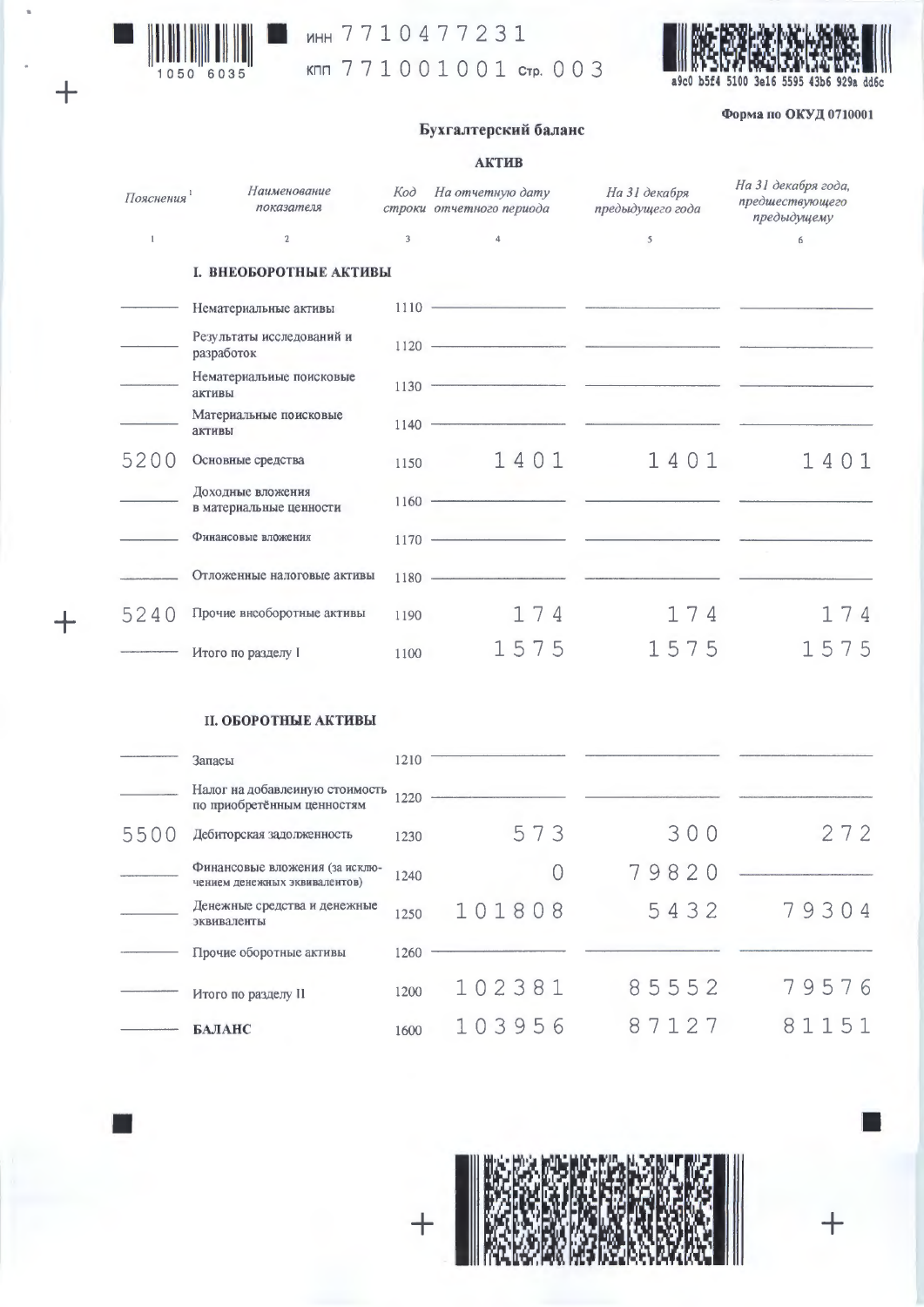

 $+$ 

 $\pm$ 

инн 7710477231

кпп 771001001 стр. 003



Форма по ОКУД 0710001

## Бухгалтерский баланс

## **АКТИВ**

| Пояснения <sup>1</sup> | Наименование<br>показателя                   | Kod  | На отчетную дату<br>строки отчетного периода                                                                                                                                                                                                                                                                                                                                                                                                                                             | На 31 декабря<br>предыдущего года | На 31 декабря года,<br>предшествующего<br>предыдущему |
|------------------------|----------------------------------------------|------|------------------------------------------------------------------------------------------------------------------------------------------------------------------------------------------------------------------------------------------------------------------------------------------------------------------------------------------------------------------------------------------------------------------------------------------------------------------------------------------|-----------------------------------|-------------------------------------------------------|
| $\mathbf{1}$           | $\mathbf{2}$                                 | 3    | $\overline{4}$                                                                                                                                                                                                                                                                                                                                                                                                                                                                           | $\mathsf{s}$                      | 6                                                     |
|                        | І. ВНЕОБОРОТНЫЕ АКТИВЫ                       |      |                                                                                                                                                                                                                                                                                                                                                                                                                                                                                          |                                   |                                                       |
|                        | Нематериальные активы                        |      | $\begin{tabular}{c} 1110 \end{tabular} \begin{tabular}{c} \textbf{---} & \textbf{---} & \textbf{---} & \textbf{---} & \textbf{---} & \textbf{---} & \textbf{---} & \textbf{---} & \textbf{---} & \textbf{---} & \textbf{---} & \textbf{---} & \textbf{---} & \textbf{---} & \textbf{---} & \textbf{---} & \textbf{---} & \textbf{---} & \textbf{---} & \textbf{---} & \textbf{---} & \textbf{---} & \textbf{---} & \textbf{---} & \textbf{---} & \textbf{---} & \textbf{---} & \textbf{$ |                                   |                                                       |
|                        | Результаты исследований и<br>разработок      |      | $\frac{1120 \text{ }}{\text{ }}$                                                                                                                                                                                                                                                                                                                                                                                                                                                         |                                   |                                                       |
|                        | Нематериальные поисковые<br>активы           |      | $\begin{tabular}{c} 1130 \end{tabular}$                                                                                                                                                                                                                                                                                                                                                                                                                                                  |                                   |                                                       |
|                        | Материальные поисковые<br>активы             |      | $1140$ $\longrightarrow$                                                                                                                                                                                                                                                                                                                                                                                                                                                                 |                                   |                                                       |
| 5200                   | Основные средства                            | 1150 | 1401                                                                                                                                                                                                                                                                                                                                                                                                                                                                                     | 1401                              | 1401                                                  |
|                        | Доходные вложения<br>в материальные ценности |      | $1160$ - $\overline{\phantom{}}$ - $\overline{\phantom{}}$ - $\overline{\phantom{}}$ - $\overline{\phantom{}}$ - $\overline{\phantom{}}$ - $\overline{\phantom{}}$ - $\overline{\phantom{}}$ - $\overline{\phantom{}}$ - $\overline{\phantom{}}$ - $\overline{\phantom{}}$ - $\overline{\phantom{}}$ - $\overline{\phantom{}}$ - $\overline{\phantom{}}$ - $\overline{\phantom{}}$ - $\overline{\phantom{}}$ - $\$                                                                       |                                   |                                                       |
|                        | Финансовые вложения                          |      | $1170$ $\longrightarrow$                                                                                                                                                                                                                                                                                                                                                                                                                                                                 |                                   |                                                       |
|                        | Отложенные налоговые активы                  |      | $\begin{tabular}{c} 1180 \end{tabular}$                                                                                                                                                                                                                                                                                                                                                                                                                                                  |                                   |                                                       |
| 5240                   | Прочие внеоборотные активы                   | 1190 | 174                                                                                                                                                                                                                                                                                                                                                                                                                                                                                      | 174                               | 174                                                   |
|                        | Итого по разделу I                           | 1100 | 1575                                                                                                                                                                                                                                                                                                                                                                                                                                                                                     | 1575                              | 1575                                                  |
|                        | <b>II. ОБОРОТНЫЕ АКТИВЫ</b>                  |      |                                                                                                                                                                                                                                                                                                                                                                                                                                                                                          |                                   |                                                       |

|      | Запасы                                                          | 1210 |        |       |       |
|------|-----------------------------------------------------------------|------|--------|-------|-------|
|      | Налог на добавлеиную стоимость<br>по приобретённым ценностям    | 1220 |        |       |       |
| 5500 | Дебиторская задолженность                                       | 1230 | 573    | 300   | 272   |
|      | Финансовые вложения (за исклю-<br>чением денежных эквивалентов) | 1240 | 0      | 79820 |       |
|      | Денежные средства и денежные<br>эквиваленты                     | 1250 | 101808 | 5432  | 79304 |
|      | Прочие оборотные активы                                         | 1260 |        |       |       |
|      | Итого по разделу I1                                             | 1200 | 102381 | 85552 | 79576 |
|      | БАЛАНС                                                          | 1600 | 103956 | 87127 | 81151 |

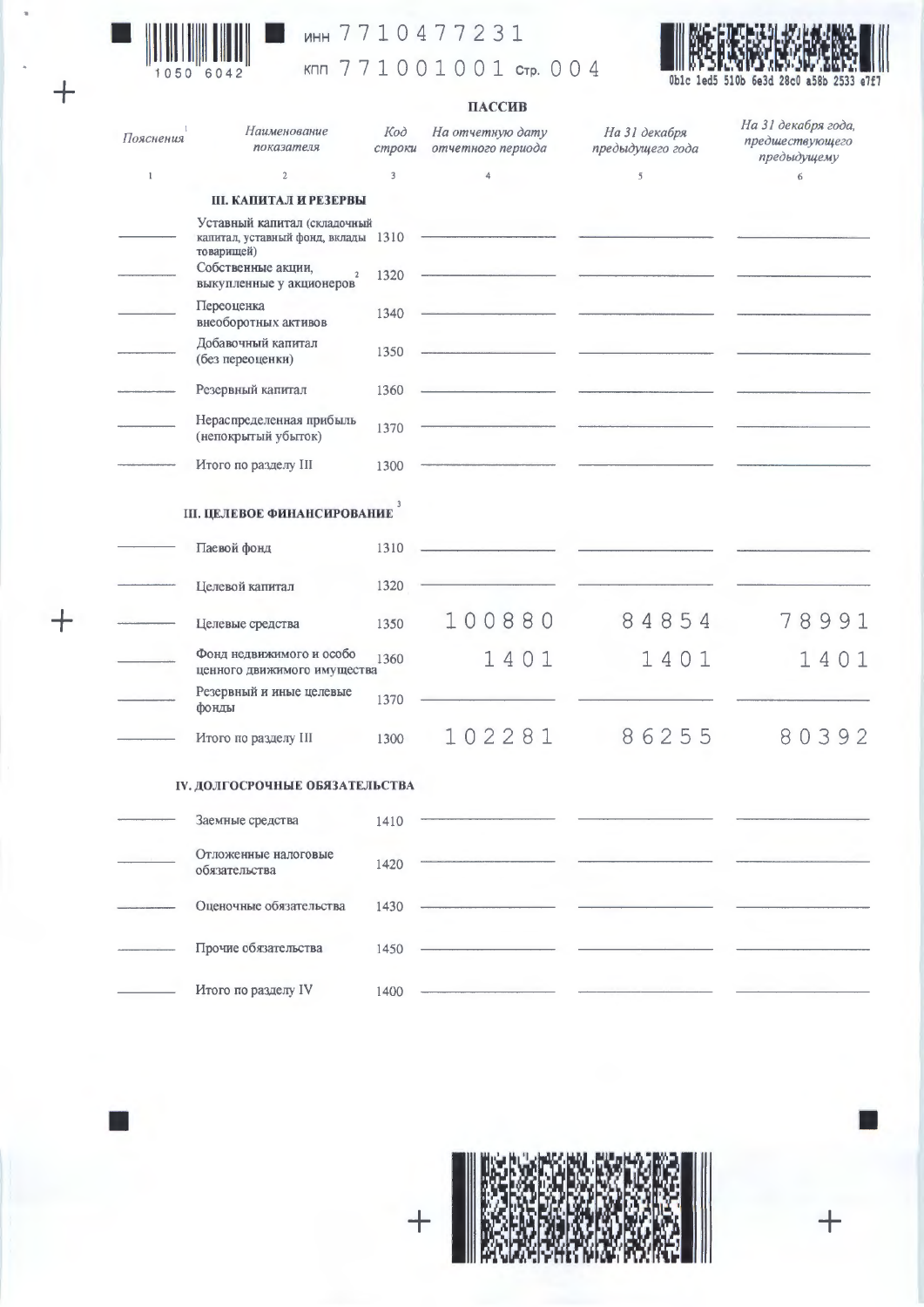

 $\overline{+}$ 

 $+$ 

## инн 7710477231

кпп 771001001 стр. 004



## ПАССИВ

| Пояснения    | Наименование<br>показателя                                                        | Код<br>строки | На отчетную дату<br>отчетного периода | На 31 декабря<br>предыдущего года | На 31 декабря года,<br>предшествующего<br>предыдущему |
|--------------|-----------------------------------------------------------------------------------|---------------|---------------------------------------|-----------------------------------|-------------------------------------------------------|
| $\mathbf{1}$ | $\mathbf 2$                                                                       | 3             | 4                                     | 5                                 | 6                                                     |
|              | <b>III. КАПИТАЛ И РЕЗЕРВЫ</b>                                                     |               |                                       |                                   |                                                       |
|              | Уставный капитал (складочный<br>капитал, уставный фонд, вклады 1310<br>товарищей) |               |                                       |                                   |                                                       |
|              | Собственные акции,<br>$\mathbf 2$<br>выкупленные у акционеров                     | 1320          |                                       |                                   |                                                       |
|              | Переоценка<br>внеоборотных активов                                                | 1340          |                                       |                                   |                                                       |
|              | Добавочный капитал<br>(без переоценки)                                            | 1350          |                                       |                                   |                                                       |
|              | Резервный капитал                                                                 | 1360          |                                       |                                   |                                                       |
|              | Нераспределенная прибыль<br>(непокрытый убыток)                                   | 1370          |                                       |                                   |                                                       |
|              | Итого по разделу III                                                              | 1300          |                                       |                                   |                                                       |
|              | <b>III. ЦЕЛЕВОЕ ФИНАНСИРОВАНИЕ</b>                                                | 3             |                                       |                                   |                                                       |
|              | Паевой фонд                                                                       | 1310          |                                       |                                   |                                                       |
|              | Целевой капитал                                                                   | 1320          |                                       |                                   |                                                       |
|              | Целевые средства                                                                  | 1350          | 100880                                | 84854                             | 8991<br>7                                             |
|              | Фонд недвижимого и особо<br>ценного движимого имущества                           | 1360          | 1401                                  | 1401                              | 14<br>-1                                              |
|              | Резервный и иные целевые<br>фонды                                                 | 1370          |                                       |                                   |                                                       |
|              | Итого по разделу III                                                              | 1300          | 102281                                | 86255                             | 80392                                                 |
|              | <b>IV. ДОЛГОСРОЧНЫЕ ОБЯЗАТЕЛЬСТВА</b>                                             |               |                                       |                                   |                                                       |
|              | Заемные средства                                                                  | 1410          |                                       |                                   |                                                       |
|              | Отложенные налоговые<br>обязательства                                             | 1420          |                                       |                                   |                                                       |
|              | Оценочные обязательства                                                           | 1430          |                                       |                                   |                                                       |
|              | Прочие обязательства                                                              | 1450          |                                       |                                   |                                                       |
|              | Итого по разделу IV                                                               | 1400          |                                       |                                   |                                                       |



 $\ddag$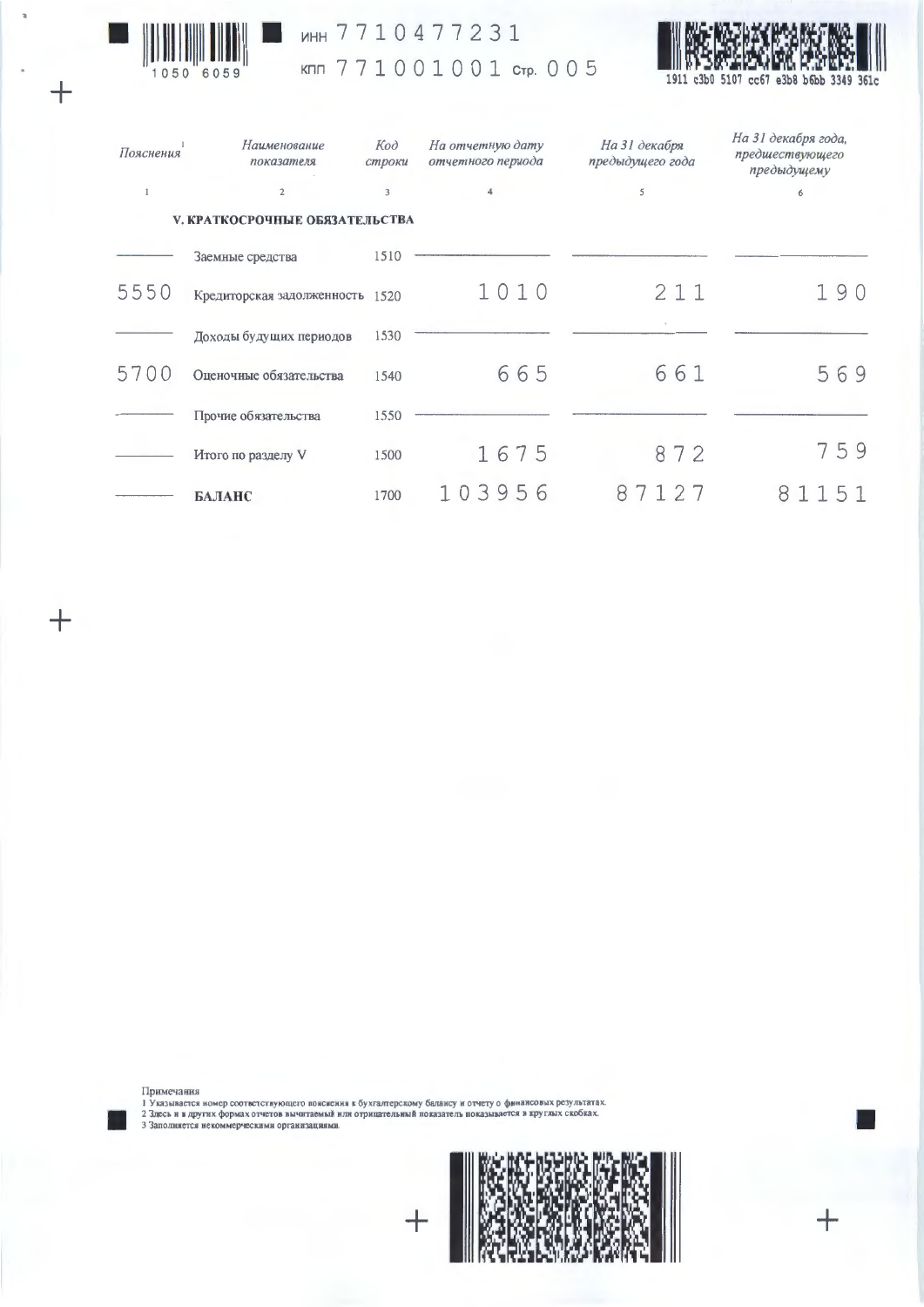

 $\ddot{}$ 

 $^{+}$ 

# MHH 7710477231

# KMM 771001001 CTP. 005



| Пояснения | Наименование<br>показателя            | Kod<br>строки           | На отчетную дату<br>отчетного периода | На 31 декабря<br>предыдущего года | На 31 декабря года,<br>предшествующего<br>предыдущему |
|-----------|---------------------------------------|-------------------------|---------------------------------------|-----------------------------------|-------------------------------------------------------|
| 1         | $\overline{2}$                        | $\overline{\mathbf{3}}$ | 4                                     | 5                                 | 6                                                     |
|           | <b>V. КРАТКОСРОЧНЫЕ ОБЯЗАТЕЛЬСТВА</b> |                         |                                       |                                   |                                                       |
|           | Заемные средства                      | 1510                    |                                       |                                   |                                                       |
| 5550      | Кредиторская задолженность 1520       |                         | 1010                                  | 211                               | 90                                                    |
|           | Доходы будущих периодов               | 1530                    |                                       |                                   |                                                       |
| 5700      | Оценочные обязательства               | 1540                    | 665                                   | 661                               | 569                                                   |
|           | Прочие обязательства                  | 1550                    |                                       |                                   |                                                       |
|           | Итого по разделу V                    | 1500                    | 1675                                  | 872                               | 759                                                   |
|           | БАЛАНС                                | 1700                    | 103956                                | 27<br>8                           | 51<br>8                                               |

Примечания<br>1 Указывается номер соответствующего пояснения к бухгалтерскому балансу и отчету о финансовых результатах.<br>2 Здесь и в других формах отчетов вычитаемый или отрицательный показатель показывается в круглых скобка



 $\mathrm{+}$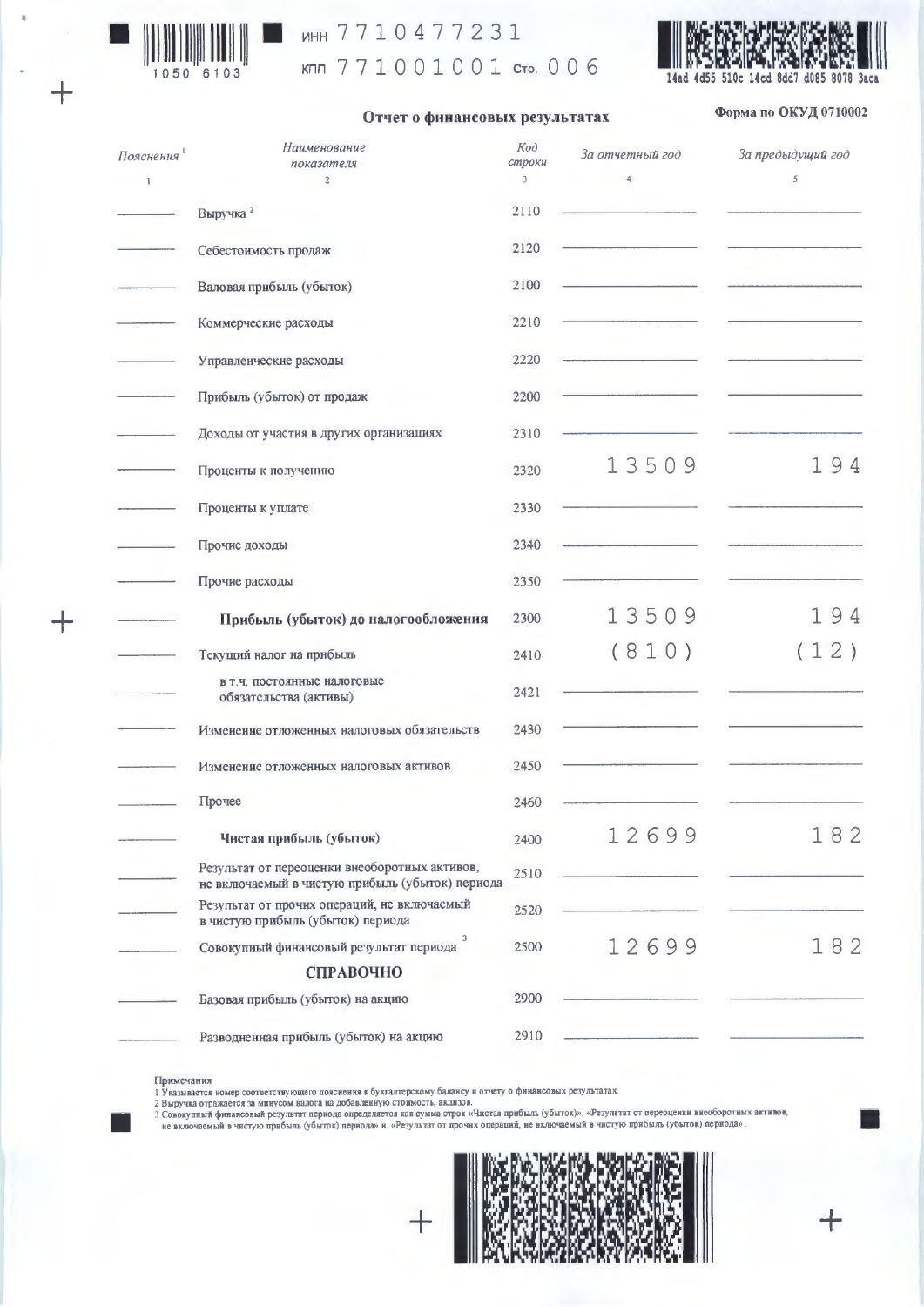

 $+$ 

## MHH 7710477231

кпп 771001001 стр. 006



#### Отчет о финансовых результатах

## Форма по ОКУД 0710002

| Пояснения<br>$\mathbf{1}$ | Наименование<br>показателя<br>$\overline{2}$                                                     | Код<br>строки<br>$\mathbf{3}$ | За отчетный год<br>$\overline{4}$ | За предыдущий год<br>5 |  |
|---------------------------|--------------------------------------------------------------------------------------------------|-------------------------------|-----------------------------------|------------------------|--|
|                           | Выручка <sup>2</sup>                                                                             | 2110                          |                                   |                        |  |
|                           | Себестоимость продаж                                                                             | 2120                          |                                   |                        |  |
|                           | Валовая прибыль (убыток)                                                                         | 2100                          |                                   |                        |  |
|                           | Коммерческие расходы                                                                             | 2210                          |                                   |                        |  |
|                           | Управленческие расходы                                                                           | 2220                          |                                   |                        |  |
|                           | Прибыль (убыток) от продаж                                                                       | 2200                          |                                   |                        |  |
|                           | Доходы от участия в других организациях                                                          | 2310                          |                                   |                        |  |
|                           | Проценты к получению                                                                             | 2320                          | 13509                             | 194                    |  |
|                           | Проценты к уплате                                                                                | 2330                          |                                   |                        |  |
|                           | Прочие доходы                                                                                    | 2340                          |                                   |                        |  |
|                           | Прочие расходы                                                                                   | 2350                          |                                   |                        |  |
|                           | Прибыль (убыток) до налогообложения                                                              | 2300                          | 13509                             | 194                    |  |
|                           | Текущий налог на прибыль                                                                         | 2410                          | (810)                             | (12)                   |  |
|                           | в т.ч. постоянные налоговые<br>обязательства (активы)                                            | 2421                          |                                   |                        |  |
|                           | Изменение отложенных налоговых обязательств                                                      | 2430                          |                                   |                        |  |
|                           | Изменение отложенных налоговых активов                                                           | 2450                          |                                   |                        |  |
|                           | Прочее                                                                                           | 2460                          |                                   |                        |  |
|                           | Чистая прибыль (убыток)                                                                          | 2400                          | 12699                             | 182                    |  |
|                           | Результат от переоценки внеоборотных активов,<br>не включаемый в чистую прибыль (убыток) периода | 2510                          |                                   |                        |  |
|                           | Результат от прочих операций, не включаемый<br>в чистую прибыль (убыток) периода                 | 2520                          |                                   |                        |  |
|                           | 3<br>Совокупный финансовый результат периода                                                     | 2500                          | 12699                             | 182                    |  |
|                           | СПРАВОЧНО                                                                                        |                               |                                   |                        |  |
|                           | Базовая прибыль (убыток) на акцию                                                                | 2900                          |                                   |                        |  |
|                           | Разводненная прибыль (убыток) на акцию                                                           | 2910                          |                                   |                        |  |

#### Примечания

примечания<br>1 Указывается номер соответствующего пояснения к бухгалтерскому балансу и отчету о финансовых результатах.<br>2 Быручка отражается за мннусом налога на добавленную стоимость, акцизов.<br>3 Совокупный финансовый резул



 $\ddot{}$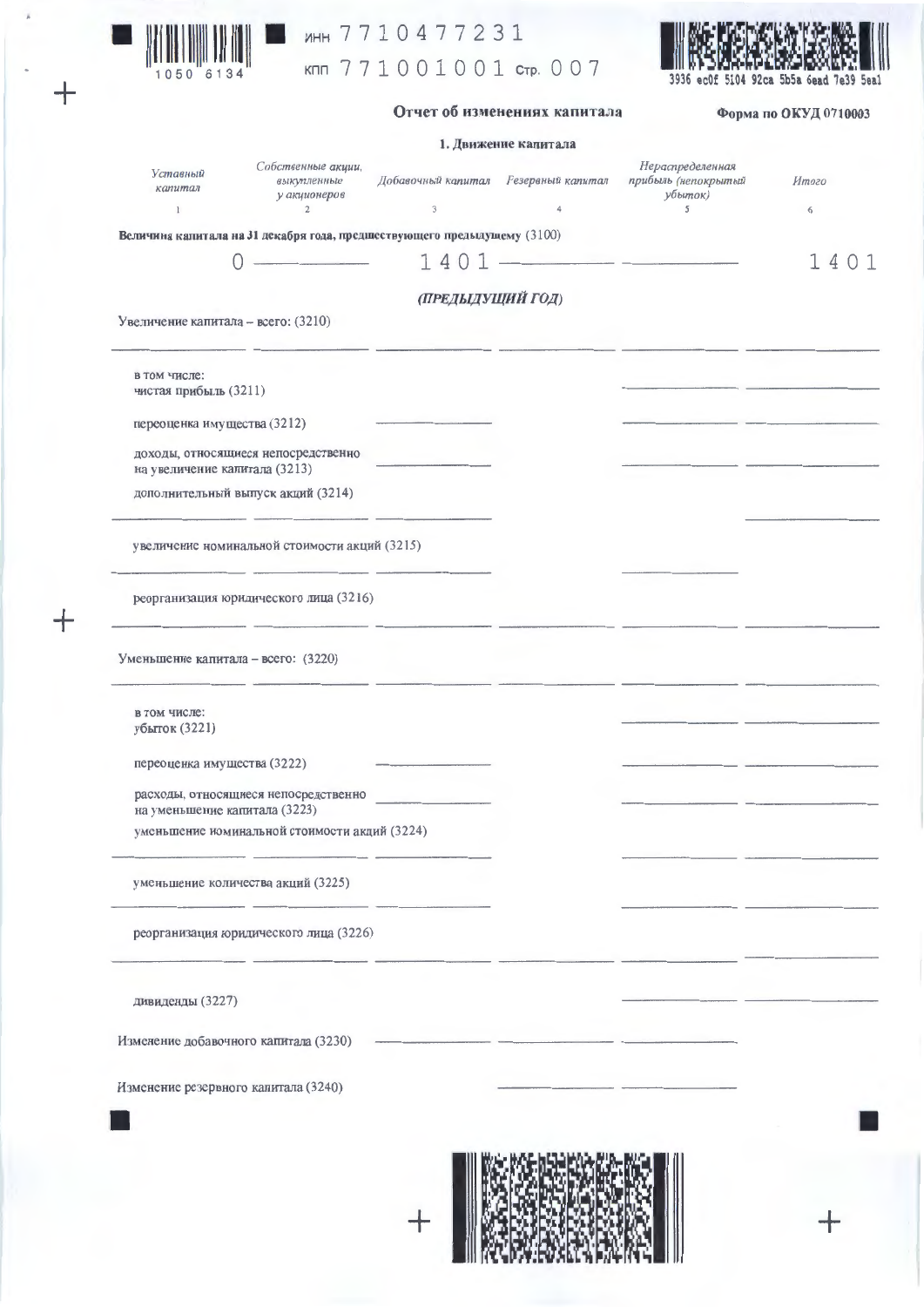

 $\ddot{+}$ 

 $\ddagger$ 

## инн 7710477231

кпп 771001001 стр. 007



### Отчет об изменениях капитала

Форма по ОКУД 0710003

|                                                                          |                                                                     |                                                        | 1. Движение капитала |                                                         |            |
|--------------------------------------------------------------------------|---------------------------------------------------------------------|--------------------------------------------------------|----------------------|---------------------------------------------------------|------------|
| Уставный<br>капитал<br>$\mathbf{1}$                                      | Собственные акции,<br>выкупленные<br>у акционеров<br>$\overline{2}$ | Добавочный капитал Резервный капитал<br>$\mathfrak{Z}$ | 4                    | Нераспределенная<br>прибыль (непокрытый<br>убыток)<br>5 | Итого<br>6 |
| Величина капитала на 31 декабря года, предшествующего предыдущему (3100) |                                                                     |                                                        |                      |                                                         |            |
|                                                                          | <b>Contract Contract Contract</b>                                   | 1401                                                   |                      |                                                         | 1401       |
|                                                                          |                                                                     |                                                        |                      |                                                         |            |
| Увеличение капитала - всего: (3210)                                      |                                                                     | (ПРЕДЫДУЩИЙ ГОД)                                       |                      |                                                         |            |
| в том числе:<br>чистая прибыль (3211)                                    |                                                                     |                                                        |                      |                                                         |            |
| переоценка имущества (3212)                                              |                                                                     |                                                        |                      |                                                         |            |
| доходы, относящиеся непосредственно<br>на увеличение капитала (3213)     |                                                                     |                                                        |                      |                                                         |            |
| дополнительный выпуск акций (3214)                                       |                                                                     |                                                        |                      |                                                         |            |
| увеличение номинальной стоимости акций (3215)                            |                                                                     |                                                        |                      |                                                         |            |
| реорганизация юридического лица (3216)                                   |                                                                     |                                                        |                      |                                                         |            |
| Уменьшение капитала - всего: (3220)                                      |                                                                     |                                                        |                      |                                                         |            |
| в том числе:<br>убыток (3221)                                            |                                                                     |                                                        |                      |                                                         |            |
| переоценка имущества (3222)                                              |                                                                     |                                                        |                      |                                                         |            |
| расходы, относящиеся непосредственно<br>на уменьшение капитала (3223)    |                                                                     |                                                        |                      |                                                         |            |
| уменьшение иоминальной стоимости акций (3224)                            |                                                                     |                                                        |                      |                                                         |            |
| уменьшение количества акций (3225)                                       |                                                                     |                                                        |                      |                                                         |            |
| реорганизация юридического лица (3226)                                   |                                                                     |                                                        |                      |                                                         |            |
| дивиденды (3227)                                                         |                                                                     |                                                        |                      |                                                         |            |
| Изменение добавочного капитала (3230)                                    |                                                                     |                                                        |                      |                                                         |            |
| Изменение резервного капитала (3240)                                     |                                                                     |                                                        |                      |                                                         |            |
|                                                                          |                                                                     |                                                        |                      |                                                         |            |
|                                                                          |                                                                     |                                                        |                      |                                                         |            |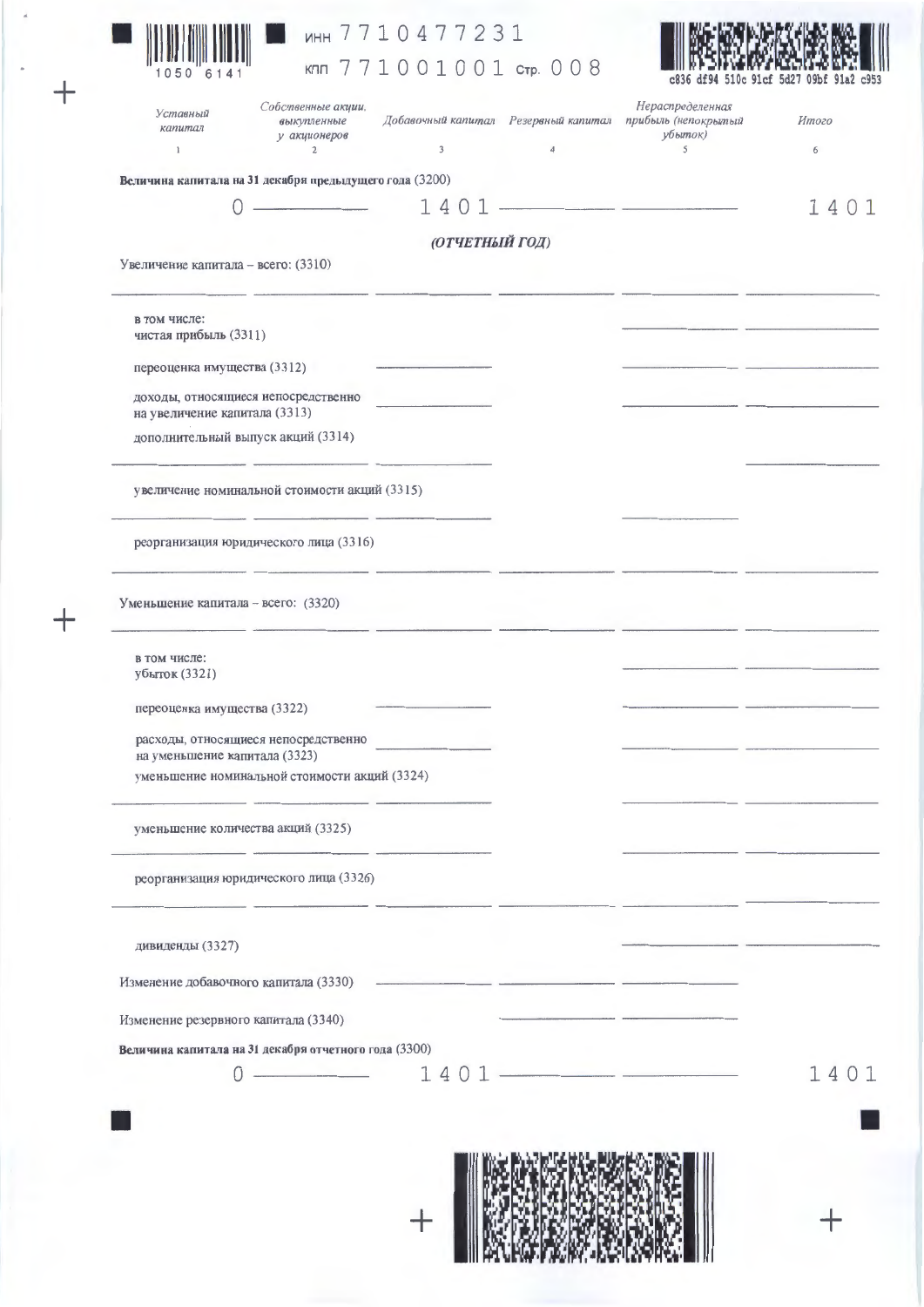$\ddot{}$ 

 $+$ 

# MHH 7710477231

KNN 771001001 CTP. 008



| Собственные акции,<br>выкупленные<br>у акционеров<br>$\mathbf{2}$ | $\overline{\mathbf{3}}$                                                                                                                                                                                                                                                                                                                                                                                                                                                         | $\overline{4}$                                                                                                                                                                                                                                                                                                                         | Нераспределенная<br>прибыль (непокрытый<br>убыток)<br>$\mathsf{S}$ | Итого<br>6               |
|-------------------------------------------------------------------|---------------------------------------------------------------------------------------------------------------------------------------------------------------------------------------------------------------------------------------------------------------------------------------------------------------------------------------------------------------------------------------------------------------------------------------------------------------------------------|----------------------------------------------------------------------------------------------------------------------------------------------------------------------------------------------------------------------------------------------------------------------------------------------------------------------------------------|--------------------------------------------------------------------|--------------------------|
|                                                                   |                                                                                                                                                                                                                                                                                                                                                                                                                                                                                 |                                                                                                                                                                                                                                                                                                                                        |                                                                    |                          |
|                                                                   |                                                                                                                                                                                                                                                                                                                                                                                                                                                                                 |                                                                                                                                                                                                                                                                                                                                        |                                                                    | 1401                     |
|                                                                   |                                                                                                                                                                                                                                                                                                                                                                                                                                                                                 |                                                                                                                                                                                                                                                                                                                                        |                                                                    |                          |
|                                                                   |                                                                                                                                                                                                                                                                                                                                                                                                                                                                                 |                                                                                                                                                                                                                                                                                                                                        |                                                                    |                          |
|                                                                   |                                                                                                                                                                                                                                                                                                                                                                                                                                                                                 |                                                                                                                                                                                                                                                                                                                                        |                                                                    |                          |
|                                                                   |                                                                                                                                                                                                                                                                                                                                                                                                                                                                                 |                                                                                                                                                                                                                                                                                                                                        |                                                                    |                          |
|                                                                   |                                                                                                                                                                                                                                                                                                                                                                                                                                                                                 |                                                                                                                                                                                                                                                                                                                                        |                                                                    |                          |
|                                                                   |                                                                                                                                                                                                                                                                                                                                                                                                                                                                                 |                                                                                                                                                                                                                                                                                                                                        |                                                                    |                          |
|                                                                   |                                                                                                                                                                                                                                                                                                                                                                                                                                                                                 |                                                                                                                                                                                                                                                                                                                                        |                                                                    |                          |
|                                                                   |                                                                                                                                                                                                                                                                                                                                                                                                                                                                                 |                                                                                                                                                                                                                                                                                                                                        |                                                                    |                          |
|                                                                   |                                                                                                                                                                                                                                                                                                                                                                                                                                                                                 |                                                                                                                                                                                                                                                                                                                                        |                                                                    |                          |
|                                                                   |                                                                                                                                                                                                                                                                                                                                                                                                                                                                                 |                                                                                                                                                                                                                                                                                                                                        |                                                                    |                          |
|                                                                   |                                                                                                                                                                                                                                                                                                                                                                                                                                                                                 |                                                                                                                                                                                                                                                                                                                                        |                                                                    |                          |
|                                                                   |                                                                                                                                                                                                                                                                                                                                                                                                                                                                                 |                                                                                                                                                                                                                                                                                                                                        |                                                                    |                          |
|                                                                   |                                                                                                                                                                                                                                                                                                                                                                                                                                                                                 |                                                                                                                                                                                                                                                                                                                                        |                                                                    |                          |
|                                                                   |                                                                                                                                                                                                                                                                                                                                                                                                                                                                                 |                                                                                                                                                                                                                                                                                                                                        |                                                                    |                          |
|                                                                   |                                                                                                                                                                                                                                                                                                                                                                                                                                                                                 |                                                                                                                                                                                                                                                                                                                                        |                                                                    |                          |
|                                                                   |                                                                                                                                                                                                                                                                                                                                                                                                                                                                                 |                                                                                                                                                                                                                                                                                                                                        |                                                                    |                          |
|                                                                   |                                                                                                                                                                                                                                                                                                                                                                                                                                                                                 |                                                                                                                                                                                                                                                                                                                                        |                                                                    |                          |
|                                                                   |                                                                                                                                                                                                                                                                                                                                                                                                                                                                                 |                                                                                                                                                                                                                                                                                                                                        |                                                                    |                          |
|                                                                   |                                                                                                                                                                                                                                                                                                                                                                                                                                                                                 |                                                                                                                                                                                                                                                                                                                                        |                                                                    |                          |
|                                                                   |                                                                                                                                                                                                                                                                                                                                                                                                                                                                                 |                                                                                                                                                                                                                                                                                                                                        |                                                                    | 1401                     |
|                                                                   |                                                                                                                                                                                                                                                                                                                                                                                                                                                                                 |                                                                                                                                                                                                                                                                                                                                        |                                                                    |                          |
|                                                                   | Увеличение капитала - всего: (3310)<br>чистая прибыль (3311)<br>переоценка имущества (3312)<br>доходы, относящиеся непосредственно<br>на увеличение капитала (3313)<br>дополнительный выпуск акций (3314)<br>Уменьшение капитала - всего: (3320)<br>переоценка имущества (3322)<br>расходы, относящиеся непосредственно<br>на уменьшение капитала (3323)<br>уменьшение количества акций (3325)<br>Изменение добавочного капитала (3330)<br>Изменение резервного капитала (3340) | Величина капитала на 31 декабря предыдущего года (3200)<br>увеличение номинальной стоимости акций (3315)<br>реорганизация юридического лица (3316)<br>уменьшение номинальной стоимости акций (3324)<br>реорганизация юридического лица (3326)<br>Величина капитала на 31 декабря отчетного года (3300)<br><u> Alexandria (m. 1888)</u> | Добавочный капитал Резервный капитал<br>(ОТЧЕТНЫЙ ГОД)             | $1401$ $-$<br>$1401$ $-$ |

 $+$ 



 $+$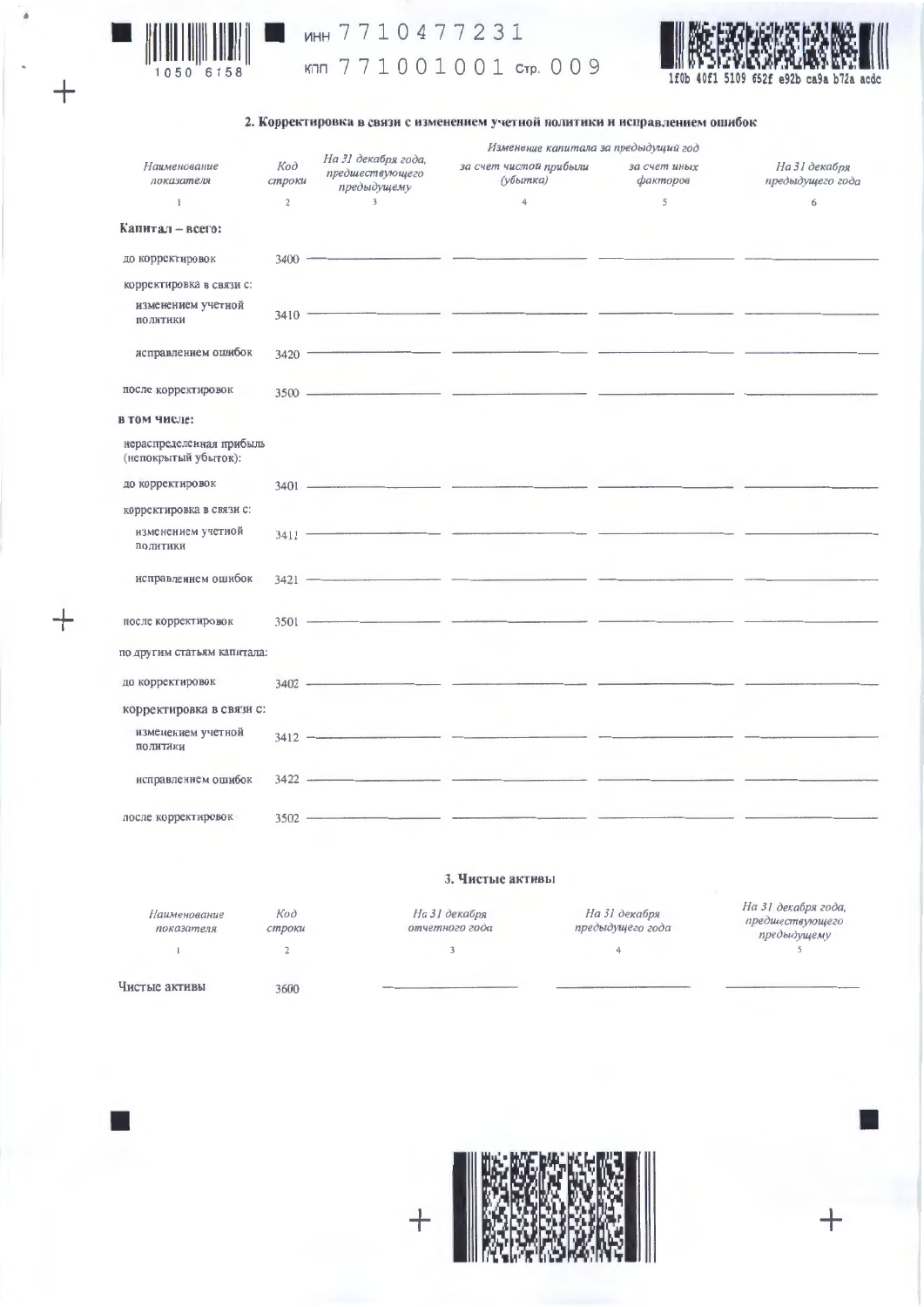

 $^{+}$ 

╅

# MHH 7710477231

кпп 771001001 стр. 009



### 2. Корректировка в связи с изменением учетной политики и исправлением ошибок

|                                                  |                |                                                       | Изменение капитала за предыдущий год |                          |                                   |  |
|--------------------------------------------------|----------------|-------------------------------------------------------|--------------------------------------|--------------------------|-----------------------------------|--|
| Наименование<br>показателя                       | Koò<br>строки  | На 31 декабря года,<br>предшествующего<br>предыдущему | за счет чистой прибыли<br>(убытка)   | за счет иных<br>факторов | На 31 декабря<br>предыдущего года |  |
| $\mathbb{I}$                                     | $\overline{c}$ | $\overline{3}$                                        | 4                                    | 5                        | 6                                 |  |
| Капитал - всего:                                 |                |                                                       |                                      |                          |                                   |  |
| до корректировок                                 |                | $3400$ $\longrightarrow$                              |                                      |                          |                                   |  |
| корректировка в связи с:                         |                |                                                       |                                      |                          |                                   |  |
| изменением учетной<br>политики                   |                |                                                       |                                      |                          |                                   |  |
| исправлением ошибок                              |                |                                                       | $3420$ $\overline{\phantom{}}$       |                          |                                   |  |
| после корректировок                              |                |                                                       |                                      |                          |                                   |  |
| в том числе:                                     |                |                                                       |                                      |                          |                                   |  |
| нераспределенная прибыль<br>(непокрытый убыток): |                |                                                       |                                      |                          |                                   |  |
| до корректировок                                 |                |                                                       | $3401$ $\longrightarrow$             |                          |                                   |  |
| корректировка в связи с:                         |                |                                                       |                                      |                          |                                   |  |
| изменением учетной<br><b>ПОЛИТИКИ</b>            |                |                                                       | $3411$ $\longrightarrow$             |                          |                                   |  |
| исправлением ошибок                              |                |                                                       | $3421$ $\longrightarrow$             |                          |                                   |  |
| после корректировок                              |                |                                                       |                                      |                          |                                   |  |
| по другим статьям капитала:                      |                |                                                       |                                      |                          |                                   |  |
| до корректировок                                 |                |                                                       | $3402$ $\longrightarrow$             |                          |                                   |  |
| корректировка в связи с:                         |                |                                                       |                                      |                          |                                   |  |
| изменением учетной<br><b>ПОЛИТИКИ</b>            |                |                                                       |                                      |                          |                                   |  |
| нсправлением ошибок                              |                |                                                       | $3422$ $\longrightarrow$             |                          |                                   |  |
| после корректировок                              |                |                                                       |                                      |                          |                                   |  |

### 3. Чистые активы

| Наименование<br>показателя | Код<br>строки | На 31 декабря<br>отчетного года | На 31 декабря<br>предыдущего года | На 31 декабря года,<br>предшествующего<br>предыдущему |
|----------------------------|---------------|---------------------------------|-----------------------------------|-------------------------------------------------------|
|                            |               |                                 |                                   |                                                       |
| Чистые активы              | 3600          |                                 |                                   |                                                       |



 $\ddag$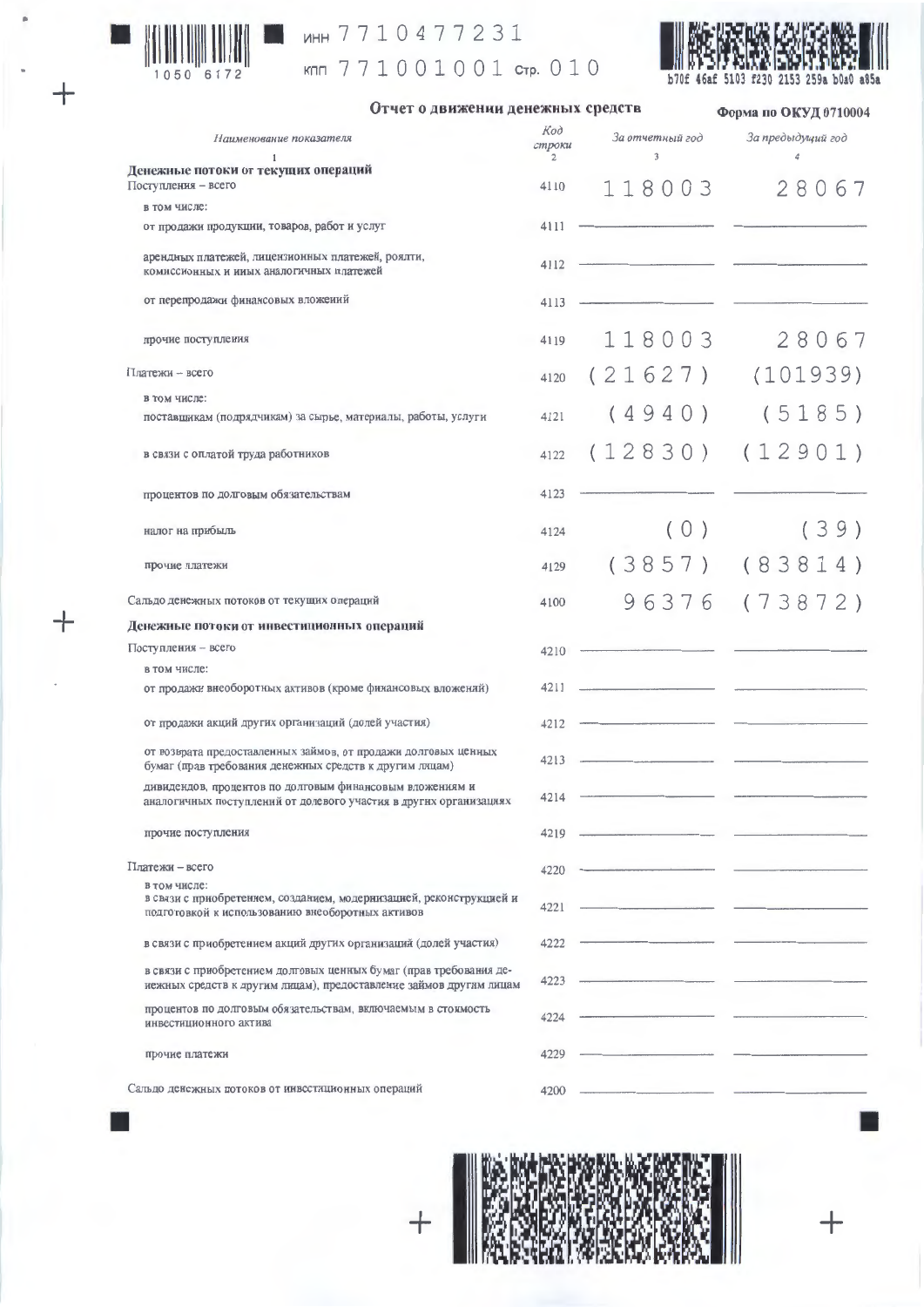

 $\ddot{}$ 

# MHH 7710477231

кпп 771001001 стр. 010



Отчет о движении денежных средств

Форма по ОКУД 0710004

| Наименование показателя                                                                                                                  | Код<br>строки<br>2 | За отчетный год<br>$\sqrt{3}$ | За предыдущий год<br>$\overline{4}$ |
|------------------------------------------------------------------------------------------------------------------------------------------|--------------------|-------------------------------|-------------------------------------|
| Денежные потоки от текущих операций                                                                                                      |                    |                               |                                     |
| Поступления - всего                                                                                                                      | 4110               | 118003                        | 28067                               |
| в том числе:                                                                                                                             |                    |                               |                                     |
| от продажи продукции, товаров, работ и услуг                                                                                             | 4111               |                               |                                     |
| арендных платежей, лицензионных платежей, роялти,<br>комиссионных и иных аналогичных платежей                                            | 4112               |                               |                                     |
| от перепродажи финансовых вложений                                                                                                       | 4113               |                               |                                     |
| прочие поступления                                                                                                                       | 4119               | 118003                        | 28067                               |
| Платежи - всего                                                                                                                          | 4120               | (21627)                       | (101939)                            |
| в том числе:                                                                                                                             |                    |                               |                                     |
| поставщикам (подрядчикам) за сырье, материалы, работы, услуги                                                                            | 4121               | (4940)                        | (5185)                              |
| в связи с оплатой труда работников                                                                                                       | 4122               | (12830)                       | (12901)                             |
| процентов по долговым обязательствам                                                                                                     | 4123               |                               |                                     |
| налог на прибыль                                                                                                                         | 4124               | (0)                           | (39)                                |
| прочие платежи                                                                                                                           | 4129               | (3857)                        | (83814)                             |
| Сальдо денежных потоков от текущих операций                                                                                              | 4100               | 96376                         | (73872)                             |
| Денежные потоки от инвестиционных операций                                                                                               |                    |                               |                                     |
| Поступления - всего                                                                                                                      | 4210               |                               |                                     |
| в том числе:                                                                                                                             |                    |                               |                                     |
| от продажи внеоборотных активов (кроме финансовых вложений)                                                                              | 4211               |                               |                                     |
| от продажи акций других организаций (долей участия)                                                                                      | 4212               |                               |                                     |
| от возврата предоставленных займов, от продажи долговых ценных<br>бумаг (прав требования денежных средств к другим лицам)                | 4213               |                               |                                     |
| дивидендов, процентов по долговым финансовым вложениям и<br>аналогичных поступленнй от долевого участия в других организациях            | 4214               |                               |                                     |
| прочие поступления                                                                                                                       | 4219               |                               |                                     |
| Платежи - всего                                                                                                                          | 4220               |                               |                                     |
| в том числе:<br>в связи с приобретением, созданием, модернизацией, реконструкцией и<br>подготовкой к использованию внеоборотных активов  | 4221               |                               |                                     |
| в связи с приобретением акций других организаций (долей участия)                                                                         | 4222               |                               |                                     |
| в связи с приобретением долговых ценкых бумаг (прав требования де-<br>иежных средств к другим лицам), предоставление займов другим лицам | 4223               |                               |                                     |
| процентов по долговым обязательствам, включаемым в стоимость<br>инвестиционного актива                                                   | 4224               |                               |                                     |
| прочие платежи                                                                                                                           | 4229               |                               |                                     |
| Сальдо денсжных потоков от инвестиционных операций                                                                                       | 4200               |                               |                                     |

Сальдо денсжных потоков от инвестиционных операций

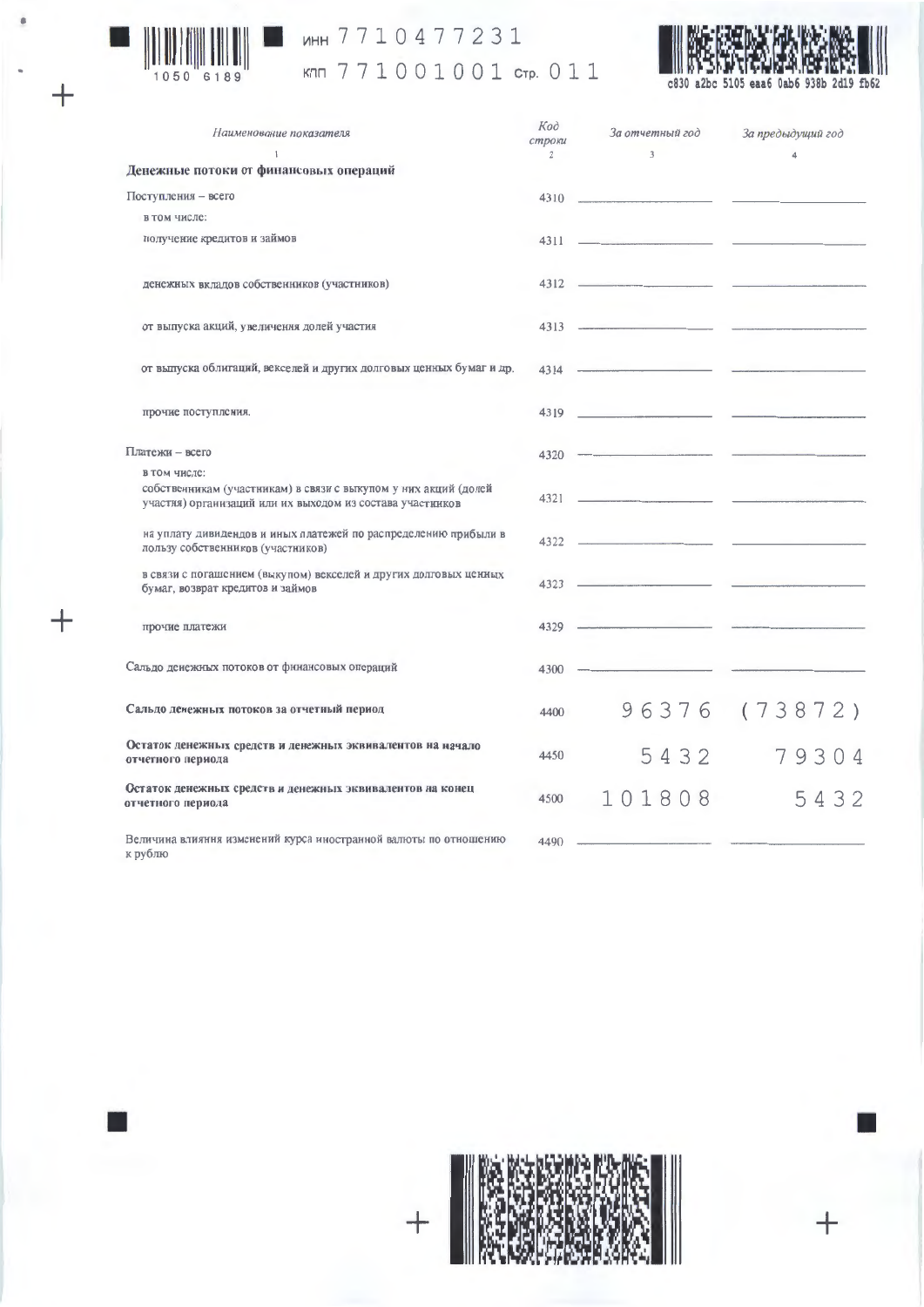

 $+$ 

 $+$ 

# MHH 7710477231

кпп 771001001 стр. 011



c830 a2bc 5105 eaa6 0ab6 938b 2d19 fb62

| Наименование показателя                                                                                                                      | Koo<br>строки<br>$\overline{2}$ | За отчетный год<br>$\overline{3}$             | За предыдущий год |
|----------------------------------------------------------------------------------------------------------------------------------------------|---------------------------------|-----------------------------------------------|-------------------|
| Денежные потоки от финансовых операций                                                                                                       |                                 |                                               |                   |
| Поступления - всего                                                                                                                          |                                 |                                               |                   |
| в том числе:                                                                                                                                 |                                 |                                               |                   |
| получение кредитов и займов                                                                                                                  |                                 | $4311$ $\longrightarrow$                      |                   |
| денежных вкладов собственников (участников)                                                                                                  |                                 | $4312$ $\longrightarrow$                      |                   |
| от выпуска акций, увеличения долей участия                                                                                                   |                                 | 4313                                          |                   |
| от выпуска облигаций, векселей и других долговых ценных бумаг и др.                                                                          |                                 | 4314                                          |                   |
| прочие поступления.                                                                                                                          |                                 | 4319                                          |                   |
| Платежи - всего                                                                                                                              |                                 | $4320$ $\longrightarrow$                      |                   |
| в том числе:<br>собственникам (участникам) в связи с выкупом у них акций (долей<br>участия) организаций или их выходом из состава участников |                                 | 4321                                          |                   |
| на уплату дивидендов и иных платежей по распределению прибыли в<br>пользу собственников (участников)                                         |                                 | 4322                                          |                   |
| в связи с погашением (выкупом) векселей и других долговых ценных<br>бумаг, возврат кредитов и займов                                         |                                 |                                               |                   |
| прочие платежи                                                                                                                               | $4329 -$                        | the property of the control of the control of |                   |
| Сальдо денежных потоков от финансовых операций                                                                                               | $4300 -$                        |                                               |                   |
| Сальдо денежных потоков за отчетный период                                                                                                   | 4400                            |                                               | 96376 (73872)     |
| Остаток денежных средств и денежных эквивалентов на начало<br>отчетного периода                                                              | 4450                            | 5432                                          | 79304             |
| Остаток денежных средств и денежных эквивалентов на конец<br>отчетного периода                                                               | 4500                            | 101808                                        | 5432              |
| Величина влияння изменений курса иностранной валюты по отношению<br>$k$ nv $6$ mo                                                            | $4490 -$                        |                                               |                   |



╅